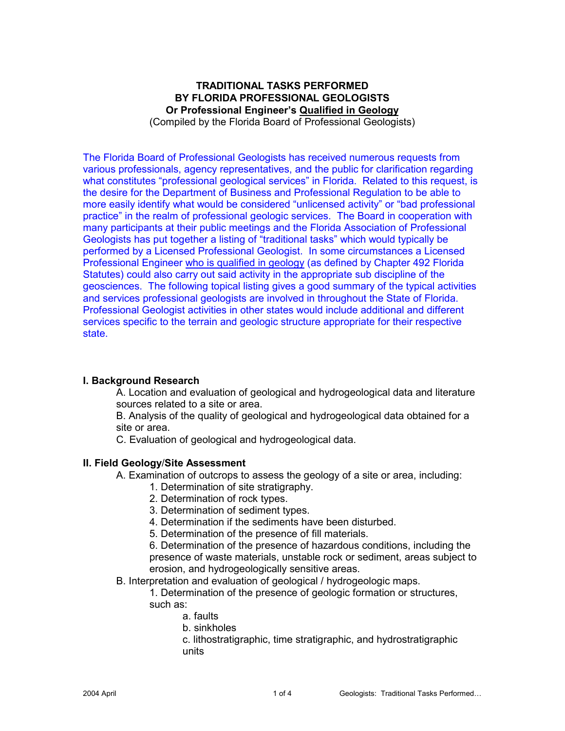## **TRADITIONAL TASKS PERFORMED BY FLORIDA PROFESSIONAL GEOLOGISTS Or Professional Engineer's Qualified in Geology**  (Compiled by the Florida Board of Professional Geologists)

The Florida Board of Professional Geologists has received numerous requests from various professionals, agency representatives, and the public for clarification regarding what constitutes "professional geological services" in Florida. Related to this request, is the desire for the Department of Business and Professional Regulation to be able to more easily identify what would be considered "unlicensed activity" or "bad professional practice" in the realm of professional geologic services. The Board in cooperation with many participants at their public meetings and the Florida Association of Professional Geologists has put together a listing of "traditional tasks" which would typically be performed by a Licensed Professional Geologist. In some circumstances a Licensed Professional Engineer who is qualified in geology (as defined by Chapter 492 Florida Statutes) could also carry out said activity in the appropriate sub discipline of the geosciences. The following topical listing gives a good summary of the typical activities and services professional geologists are involved in throughout the State of Florida. Professional Geologist activities in other states would include additional and different services specific to the terrain and geologic structure appropriate for their respective state.

# **I. Background Research**

A. Location and evaluation of geological and hydrogeological data and literature sources related to a site or area.

B. Analysis of the quality of geological and hydrogeological data obtained for a site or area.

C. Evaluation of geological and hydrogeological data.

### **II. Field Geology**/**Site Assessment**

A. Examination of outcrops to assess the geology of a site or area, including:

- 1. Determination of site stratigraphy.
- 2. Determination of rock types.
- 3. Determination of sediment types.
- 4. Determination if the sediments have been disturbed.
- 5. Determination of the presence of fill materials.

6. Determination of the presence of hazardous conditions, including the presence of waste materials, unstable rock or sediment, areas subject to erosion, and hydrogeologically sensitive areas.

B. Interpretation and evaluation of geological / hydrogeologic maps.

1. Determination of the presence of geologic formation or structures, such as:

- a. faults
- b. sinkholes
- c. lithostratigraphic, time stratigraphic, and hydrostratigraphic units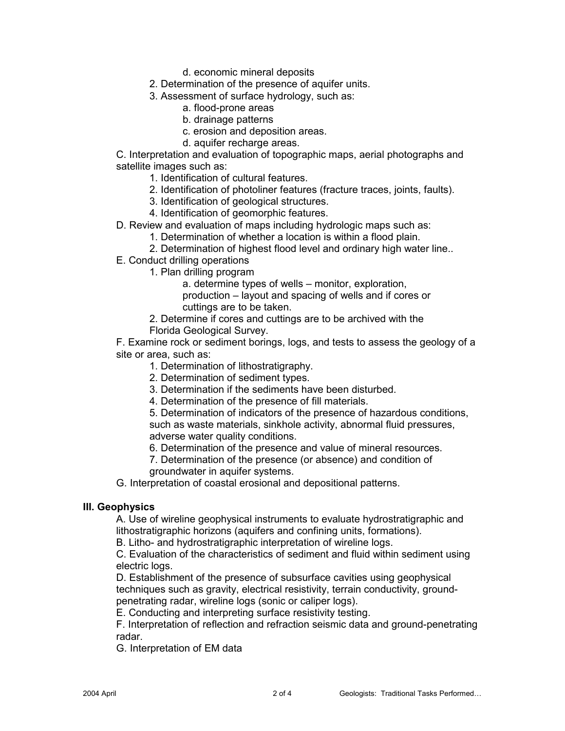- d. economic mineral deposits
- 2. Determination of the presence of aquifer units.
- 3. Assessment of surface hydrology, such as:
	- a. flood-prone areas
	- b. drainage patterns
	- c. erosion and deposition areas.
	- d. aquifer recharge areas.

C. Interpretation and evaluation of topographic maps, aerial photographs and satellite images such as:

- 1. Identification of cultural features.
- 2. Identification of photoliner features (fracture traces, joints, faults).
- 3. Identification of geological structures.
- 4. Identification of geomorphic features.
- D. Review and evaluation of maps including hydrologic maps such as:
	- 1. Determination of whether a location is within a flood plain.
	- 2. Determination of highest flood level and ordinary high water line..
- E. Conduct drilling operations
	- 1. Plan drilling program
		- a. determine types of wells monitor, exploration,

production – layout and spacing of wells and if cores or cuttings are to be taken.

- 2. Determine if cores and cuttings are to be archived with the
- Florida Geological Survey.

F. Examine rock or sediment borings, logs, and tests to assess the geology of a site or area, such as:

- 1. Determination of lithostratigraphy.
- 2. Determination of sediment types.
- 3. Determination if the sediments have been disturbed.
- 4. Determination of the presence of fill materials.

5. Determination of indicators of the presence of hazardous conditions, such as waste materials, sinkhole activity, abnormal fluid pressures, adverse water quality conditions.

6. Determination of the presence and value of mineral resources.

7. Determination of the presence (or absence) and condition of groundwater in aquifer systems.

G. Interpretation of coastal erosional and depositional patterns.

### **III. Geophysics**

A. Use of wireline geophysical instruments to evaluate hydrostratigraphic and lithostratigraphic horizons (aquifers and confining units, formations).

B. Litho- and hydrostratigraphic interpretation of wireline logs.

C. Evaluation of the characteristics of sediment and fluid within sediment using electric logs.

D. Establishment of the presence of subsurface cavities using geophysical techniques such as gravity, electrical resistivity, terrain conductivity, groundpenetrating radar, wireline logs (sonic or caliper logs).

E. Conducting and interpreting surface resistivity testing.

F. Interpretation of reflection and refraction seismic data and ground-penetrating radar.

G. Interpretation of EM data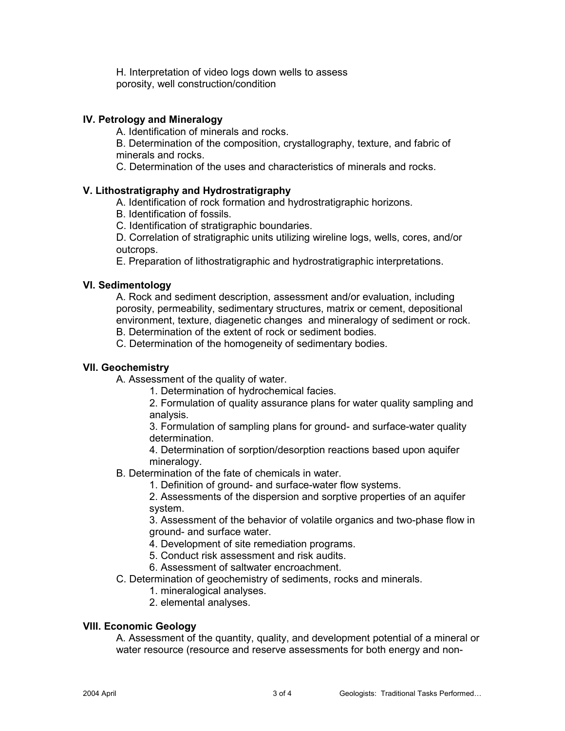H. Interpretation of video logs down wells to assess porosity, well construction/condition

### **IV. Petrology and Mineralogy**

A. Identification of minerals and rocks.

B. Determination of the composition, crystallography, texture, and fabric of minerals and rocks.

C. Determination of the uses and characteristics of minerals and rocks.

### **V. Lithostratigraphy and Hydrostratigraphy**

A. Identification of rock formation and hydrostratigraphic horizons.

B. Identification of fossils.

C. Identification of stratigraphic boundaries.

D. Correlation of stratigraphic units utilizing wireline logs, wells, cores, and/or outcrops.

E. Preparation of lithostratigraphic and hydrostratigraphic interpretations.

### **VI. Sedimentology**

A. Rock and sediment description, assessment and/or evaluation, including porosity, permeability, sedimentary structures, matrix or cement, depositional environment, texture, diagenetic changes and mineralogy of sediment or rock. B. Determination of the extent of rock or sediment bodies.

C. Determination of the homogeneity of sedimentary bodies.

### **VII. Geochemistry**

A. Assessment of the quality of water.

1. Determination of hydrochemical facies.

2. Formulation of quality assurance plans for water quality sampling and analysis.

3. Formulation of sampling plans for ground- and surface-water quality determination.

4. Determination of sorption/desorption reactions based upon aquifer mineralogy.

B. Determination of the fate of chemicals in water.

1. Definition of ground- and surface-water flow systems.

2. Assessments of the dispersion and sorptive properties of an aquifer system.

3. Assessment of the behavior of volatile organics and two-phase flow in ground- and surface water.

- 4. Development of site remediation programs.
- 5. Conduct risk assessment and risk audits.
- 6. Assessment of saltwater encroachment.

# C. Determination of geochemistry of sediments, rocks and minerals.

- 1. mineralogical analyses.
- 2. elemental analyses.

### **VIII. Economic Geology**

A. Assessment of the quantity, quality, and development potential of a mineral or water resource (resource and reserve assessments for both energy and non